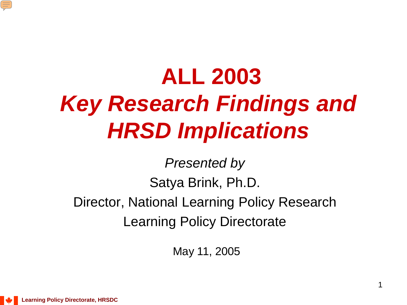

# **ALL 2003**  *Key Research Findings and HRSD Implications*

*Presented by* Satya Brink, Ph.D. Director, National Learning Policy Research Learning Policy Directorate

May 11, 2005

**Learning Policy Directorate, HRSDC**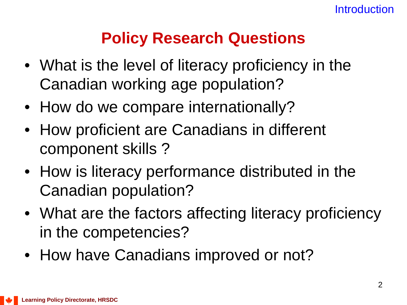### **Policy Research Questions**

- What is the level of literacy proficiency in the Canadian working age population?
- How do we compare internationally?
- How proficient are Canadians in different component skills ?
- How is literacy performance distributed in the Canadian population?
- What are the factors affecting literacy proficiency in the competencies?
- How have Canadians improved or not?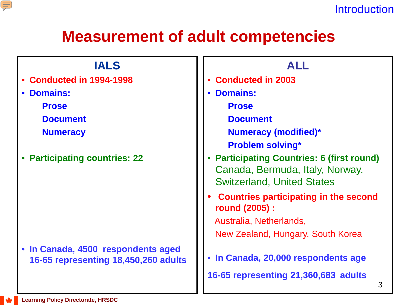

### **Measurement of adult competencies**

| <b>IALS</b>                                                                | <b>ALL</b>                                                                                                              |  |  |  |
|----------------------------------------------------------------------------|-------------------------------------------------------------------------------------------------------------------------|--|--|--|
| Conducted in 1994-1998                                                     | <b>Conducted in 2003</b>                                                                                                |  |  |  |
| <b>Domains:</b>                                                            | <b>Domains:</b>                                                                                                         |  |  |  |
| <b>Prose</b>                                                               | <b>Prose</b>                                                                                                            |  |  |  |
| <b>Document</b>                                                            | <b>Document</b>                                                                                                         |  |  |  |
| <b>Numeracy</b>                                                            | <b>Numeracy (modified)*</b>                                                                                             |  |  |  |
|                                                                            | <b>Problem solving*</b>                                                                                                 |  |  |  |
| <b>Participating countries: 22</b>                                         | <b>Participating Countries: 6 (first round)</b><br>Canada, Bermuda, Italy, Norway,<br><b>Switzerland, United States</b> |  |  |  |
|                                                                            | <b>Countries participating in the second</b><br>round (2005) :                                                          |  |  |  |
|                                                                            | Australia, Netherlands,                                                                                                 |  |  |  |
|                                                                            | New Zealand, Hungary, South Korea                                                                                       |  |  |  |
| • In Canada, 4500 respondents aged<br>16-65 representing 18,450,260 adults | • In Canada, 20,000 respondents age                                                                                     |  |  |  |
|                                                                            | 16-65 representing 21,360,683 adults<br>3                                                                               |  |  |  |

E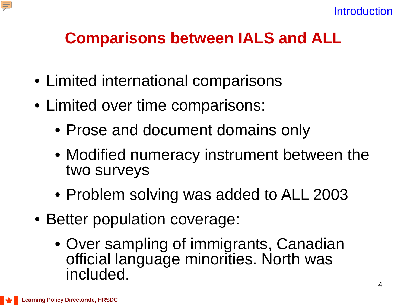

### **Comparisons between IALS and ALL**

- Limited international comparisons
- Limited over time comparisons:
	- Prose and document domains only
	- Modified numeracy instrument between the two surveys
	- Problem solving was added to ALL 2003
- Better population coverage:
	- Over sampling of immigrants, Canadian official language minorities. North was included.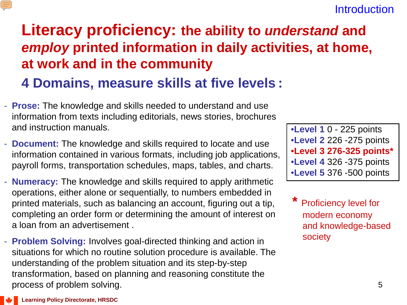#### **Introduction**

## **Literacy proficiency: the ability to** *understand* **and**  *employ* **printed information in daily activities, at home, at work and in the community**

### **4 Domains, measure skills at five levels :**

- **Prose:** The knowledge and skills needed to understand and use information from texts including editorials, news stories, brochures and instruction manuals.
- **Document:** The knowledge and skills required to locate and use information contained in various formats, including job applications, payroll forms, transportation schedules, maps, tables, and charts.
- **Numeracy:** The knowledge and skills required to apply arithmetic operations, either alone or sequentially, to numbers embedded in printed materials, such as balancing an account, figuring out a tip, completing an order form or determining the amount of interest on a loan from an advertisement .
- **Problem Solving:** Involves goal-directed thinking and action in situations for which no routine solution procedure is available. The understanding of the problem situation and its step-by-step transformation, based on planning and reasoning constitute the process of problem solving.

•**Level 1** 0 - 225 points •**Level 2** 226 -275 points •**Level 3 276-325 points\*** •**Level 4** 326 -375 points •**Level 5** 376 -500 points

**Proficiency level for** modern economy and knowledge-based society

 $\equiv$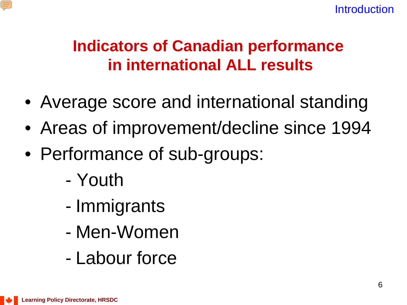

## **Indicators of Canadian performance in international ALL results**

- Average score and international standing
- Areas of improvement/decline since 1994
- Performance of sub-groups:
	- Youth
	- Immigrants
	- Men-Women
	- Labour force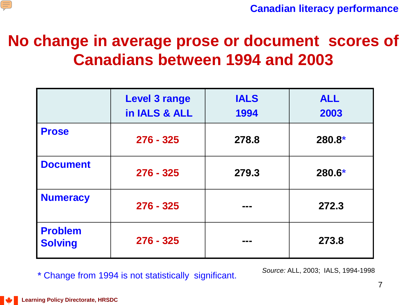

### **No change in average prose or document scores of Canadians between 1994 and 2003**

|                                  | <b>Level 3 range</b><br>in IALS & ALL | <b>IALS</b><br>1994 | <b>ALL</b><br>2003 |
|----------------------------------|---------------------------------------|---------------------|--------------------|
| <b>Prose</b>                     | $276 - 325$                           | 278.8               | 280.8*             |
| <b>Document</b>                  | $276 - 325$                           | 279.3               | 280.6*             |
| Numeracy                         | $276 - 325$                           |                     | 272.3              |
| <b>Problem</b><br><b>Solving</b> | $276 - 325$                           |                     | 273.8              |

**\*** Change from 1994 is not statistically significant.

*Source:* ALL, 2003; IALS, 1994-1998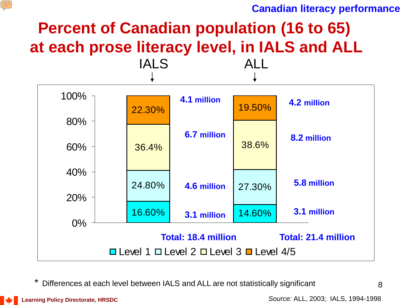#### **Canadian literacy performance**

## **Percent of Canadian population (16 to 65) at each prose literacy level, in IALS and ALL**



Differences at each level between IALS and ALL are not statistically significant

复

*Source:* ALL, 2003; IALS, 1994-1998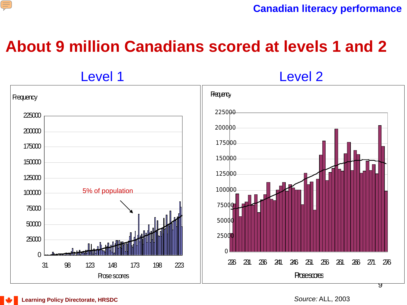

### **About 9 million Canadians scored at levels 1 and 2**

Level 1 Level 2 98 123 148 173 198 223 Prose scores **Frequency**  250d 231 236 241 246 251 256 261 266 271 276 **Prosessores Frequency** 5% of population



*Source:* ALL, 2003

जु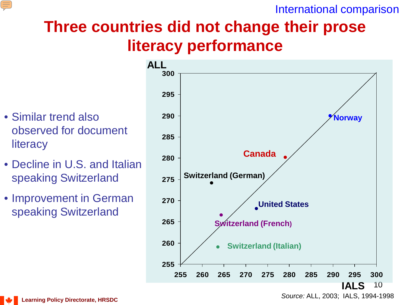

International comparison

## **Three countries did not change their prose literacy performance**

- Similar trend also observed for document **literacy**
- Decline in U.S. and Italian speaking Switzerland
- Improvement in German speaking Switzerland



*Source:* ALL, 2003; IALS, 1994-1998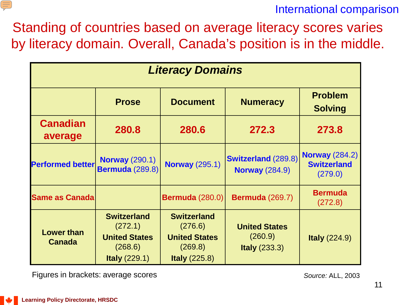

International comparison

Standing of countries based on average literacy scores varies by literacy domain. Overall, Canada's position is in the middle.

| <b>Literacy Domains</b>            |                                                                                     |                                                                                          |                                                     |                                                        |  |  |  |
|------------------------------------|-------------------------------------------------------------------------------------|------------------------------------------------------------------------------------------|-----------------------------------------------------|--------------------------------------------------------|--|--|--|
|                                    | <b>Prose</b>                                                                        | <b>Document</b>                                                                          | <b>Numeracy</b>                                     | <b>Problem</b><br><b>Solving</b>                       |  |  |  |
| <b>Canadian</b><br>average         | 280.8                                                                               | 280.6                                                                                    | 272.3                                               | 273.8                                                  |  |  |  |
| <b>Performed better</b>            | <b>Norway (290.1)</b><br><b>Bermuda (289.8)</b>                                     | <b>Norway (295.1)</b>                                                                    | <b>Switzerland (289.8)</b><br><b>Norway (284.9)</b> | <b>Norway (284.2)</b><br><b>Switzerland</b><br>(279.0) |  |  |  |
| <b>Same as Canada</b>              |                                                                                     | <b>Bermuda (280.0)</b>                                                                   | <b>Bermuda (269.7)</b>                              | <b>Bermuda</b><br>(272.8)                              |  |  |  |
| <b>Lower than</b><br><b>Canada</b> | <b>Switzerland</b><br>(272.1)<br><b>United States</b><br>(268.6)<br>Italy $(229.1)$ | <b>Switzerland</b><br>(276.6)<br><b>United States</b><br>(269.8)<br><b>Italy (225.8)</b> | <b>United States</b><br>(260.9)<br>Italy $(233.3)$  | <b>Italy (224.9)</b>                                   |  |  |  |

Figures in brackets: average scores *Source:* ALL, 2003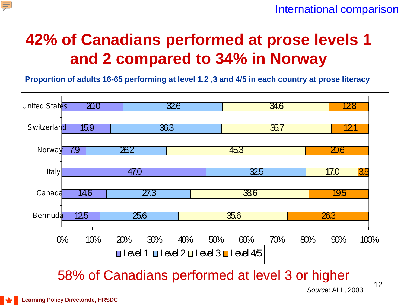

### **42% of Canadians performed at prose levels 1 and 2 compared to 34% in Norway**

**Proportion of adults 16-65 performing at level 1,2 ,3 and 4/5 in each country at prose literacy**



58% of Canadians performed at level 3 or higher



E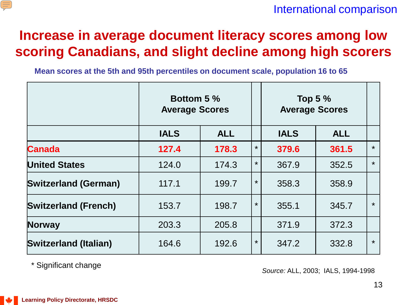

### **Increase in average document literacy scores among low scoring Canadians, and slight decline among high scorers**

**Mean scores at the 5th and 95th percentiles on document scale, population 16 to 65**

|                              | <b>Bottom 5 %</b><br><b>Average Scores</b> |            |         | Top 5 $%$<br><b>Average Scores</b> |            |         |
|------------------------------|--------------------------------------------|------------|---------|------------------------------------|------------|---------|
|                              | <b>IALS</b>                                | <b>ALL</b> |         | <b>IALS</b>                        | <b>ALL</b> |         |
| <b>Canada</b>                | 127.4                                      | 178.3      | $\star$ | 379.6                              | 361.5      | $\star$ |
| <b>United States</b>         | 124.0                                      | 174.3      | $\star$ | 367.9                              | 352.5      | $\star$ |
| <b>Switzerland (German)</b>  | 117.1                                      | 199.7      | $\star$ | 358.3                              | 358.9      |         |
| <b>Switzerland (French)</b>  | 153.7                                      | 198.7      | $\star$ | 355.1                              | 345.7      | $\star$ |
| <b>Norway</b>                | 203.3                                      | 205.8      |         | 371.9                              | 372.3      |         |
| <b>Switzerland (Italian)</b> | 164.6                                      | 192.6      | $\star$ | 347.2                              | 332.8      | $\star$ |

\* Significant change *Source:* ALL, 2003; IALS, 1994-1998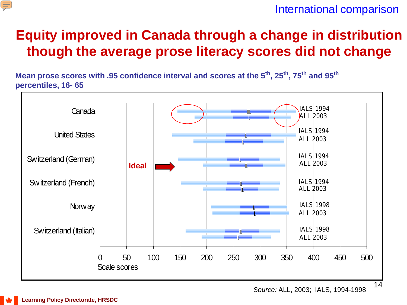

### **Equity improved in Canada through a change in distribution though the average prose literacy scores did not change**

**Mean prose scores with .95 confidence interval and scores at the 5th, 25th, 75th and 95th percentiles, 16- 65**



*Source:* ALL, 2003; IALS, 1994-1998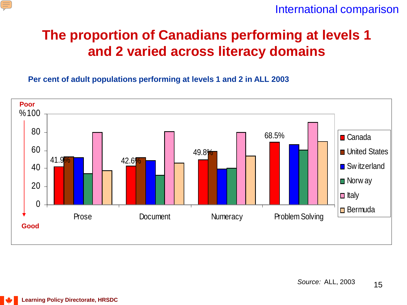

International comparison

### **The proportion of Canadians performing at levels 1 and 2 varied across literacy domains**

**Per cent of adult populations performing at levels 1 and 2 in ALL 2003** 

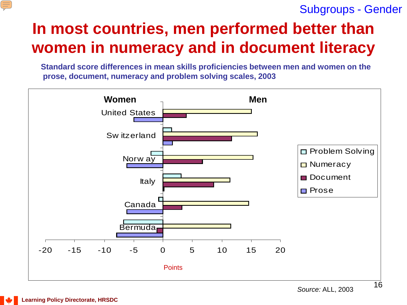#### Subgroups - Gender

## **In most countries, men performed better than women in numeracy and in document literacy**

**Standard score differences in mean skills proficiencies between men and women on the prose, document, numeracy and problem solving scales, 2003**



 $\left( \equiv \right)$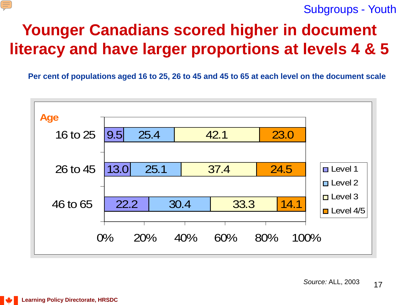

Subgroups - Youth

## **Younger Canadians scored higher in document literacy and have larger proportions at levels 4 & 5**

**Per cent of populations aged 16 to 25, 26 to 45 and 45 to 65 at each level on the document scale**

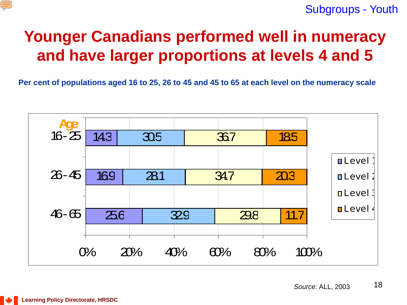

## **Younger Canadians performed well in numeracy and have larger proportions at levels 4 and 5**

**Per cent of populations aged 16 to 25, 26 to 45 and 45 to 65 at each level on the numeracy scale**

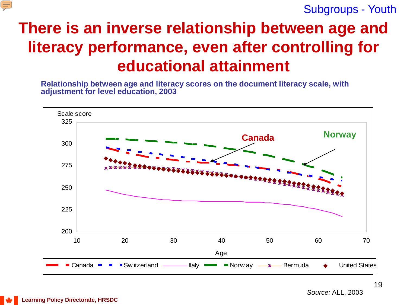Subgroups - Youth

## **There is an inverse relationship between age and literacy performance, even after controlling for educational attainment**

**Relationship between age and literacy scores on the document literacy scale, with adjustment for level education, 2003**



*Source:* ALL, 2003

E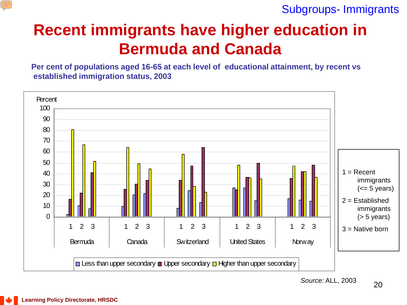

Subgroups- Immigrants

## **Recent immigrants have higher education in Bermuda and Canada**

**Per cent of populations aged 16-65 at each level of educational attainment, by recent vs established immigration status, 2003**

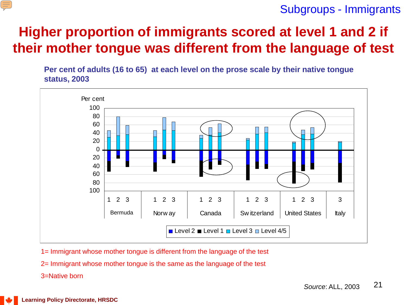#### E

#### Subgroups - Immigrants

### **Higher proportion of immigrants scored at level 1 and 2 if their mother tongue was different from the language of test**

**Per cent of adults (16 to 65) at each level on the prose scale by their native tongue status, 2003**



- 1= Immigrant whose mother tongue is different from the language of the test
- 2= Immigrant whose mother tongue is the same as the language of the test
- 3=Native born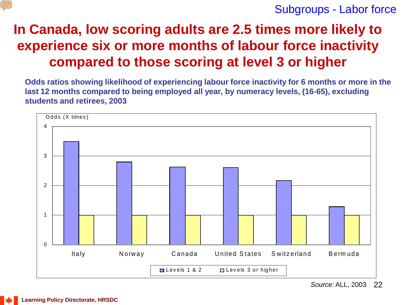

Subgroups - Labor force

### **In Canada, low scoring adults are 2.5 times more likely to experience six or more months of labour force inactivity compared to those scoring at level 3 or higher**

**Odds ratios showing likelihood of experiencing labour force inactivity for 6 months or more in the last 12 months compared to being employed all year, by numeracy levels, (16-65), excluding students and retirees, 2003**

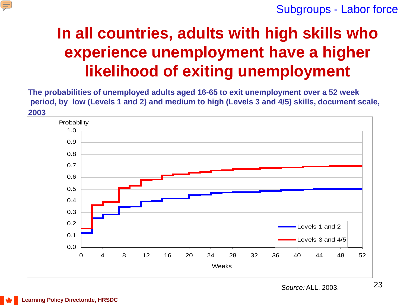

Subgroups - Labor force

## **In all countries, adults with high skills who experience unemployment have a higher likelihood of exiting unemployment**

**The probabilities of unemployed adults aged 16-65 to exit unemployment over a 52 week period, by low (Levels 1 and 2) and medium to high (Levels 3 and 4/5) skills, document scale, 2003**

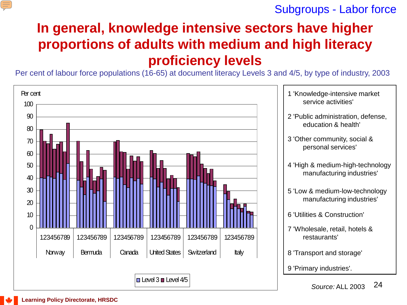

Subgroups - Labor force

### **In general, knowledge intensive sectors have higher proportions of adults with medium and high literacy proficiency levels**

Per cent of labour force populations (16-65) at document literacy Levels 3 and 4/5, by type of industry, 2003

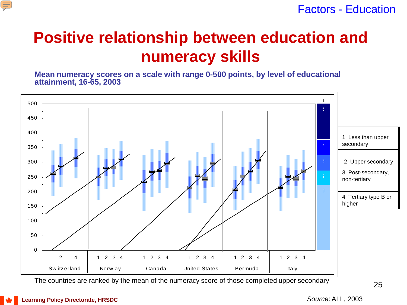

Factors - Education

### **Positive relationship between education and numeracy skills**

**Mean numeracy scores on a scale with range 0-500 points, by level of educational attainment, 16-65, 2003**



The countries are ranked by the mean of the numeracy score of those completed upper secondary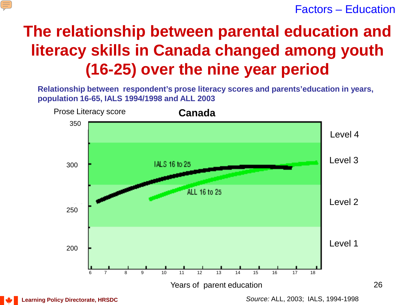

Factors – Education

## **The relationship between parental education and literacy skills in Canada changed among youth (16-25) over the nine year period**

**Relationship between respondent's prose literacy scores and parents'education in years, population 16-65, IALS 1994/1998 and ALL 2003**



**Learning Policy Directorate, HRSDC**

*Source:* ALL, 2003; IALS, 1994-1998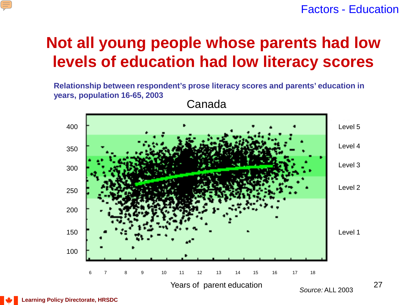#### Factors - Education

### **Not all young people whose parents had low levels of education had low literacy scores**

**Relationship between respondent's prose literacy scores and parents' education in years, population 16-65, 2003**

Canada



 $\equiv$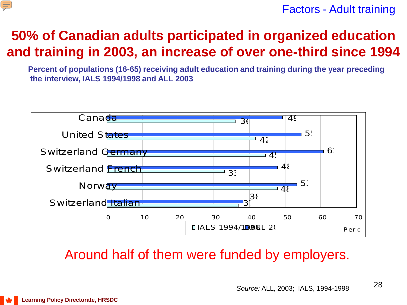

Factors - Adult training

### **50% of Canadian adults participated in organized education and training in 2003, an increase of over one-third since 1994**

**Percent of populations (16-65) receiving adult education and training during the year preceding the interview, IALS 1994/1998 and ALL 2003**



### Around half of them were funded by employers.

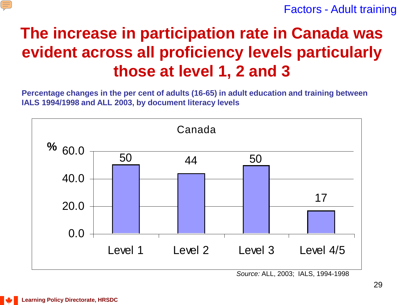

Factors - Adult training

## **The increase in participation rate in Canada was evident across all proficiency levels particularly those at level 1, 2 and 3**

**Percentage changes in the per cent of adults (16-65) in adult education and training between IALS 1994/1998 and ALL 2003, by document literacy levels**



*Source:* ALL, 2003; IALS, 1994-1998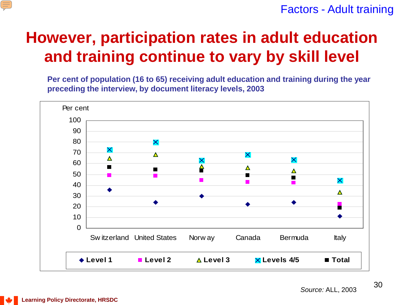

### **However, participation rates in adult education and training continue to vary by skill level**

**Per cent of population (16 to 65) receiving adult education and training during the year preceding the interview, by document literacy levels, 2003**

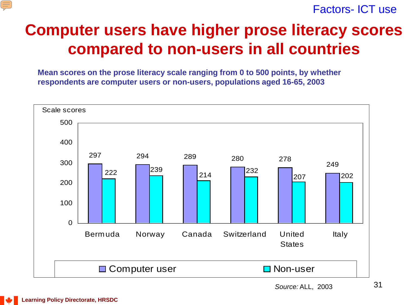

Factors- ICT use

### **Computer users have higher prose literacy scores compared to non-users in all countries**

**Mean scores on the prose literacy scale ranging from 0 to 500 points, by whether respondents are computer users or non-users, populations aged 16-65, 2003**

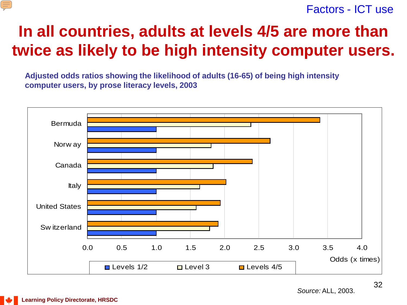

#### Factors - ICT use

### **In all countries, adults at levels 4/5 are more than twice as likely to be high intensity computer users.**

**Adjusted odds ratios showing the likelihood of adults (16-65) of being high intensity computer users, by prose literacy levels, 2003**

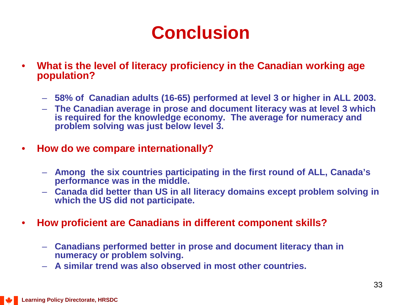- **What is the level of literacy proficiency in the Canadian working age population?**
	- **58% of Canadian adults (16-65) performed at level 3 or higher in ALL 2003.**
	- **The Canadian average in prose and document literacy was at level 3 which is required for the knowledge economy. The average for numeracy and problem solving was just below level 3.**
- **How do we compare internationally?**
	- **Among the six countries participating in the first round of ALL, Canada's performance was in the middle.**
	- **Canada did better than US in all literacy domains except problem solving in which the US did not participate.**
- **How proficient are Canadians in different component skills?**
	- **Canadians performed better in prose and document literacy than in numeracy or problem solving.**
	- **A similar trend was also observed in most other countries.**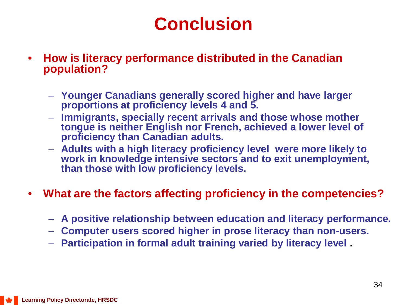- **How is literacy performance distributed in the Canadian population?**
	- **Younger Canadians generally scored higher and have larger proportions at proficiency levels 4 and 5.**
	- **Immigrants, specially recent arrivals and those whose mother tongue is neither English nor French, achieved a lower level of proficiency than Canadian adults.**
	- **Adults with a high literacy proficiency level were more likely to work in knowledge intensive sectors and to exit unemployment, than those with low proficiency levels.**
- **What are the factors affecting proficiency in the competencies?**
	- **A positive relationship between education and literacy performance.**
	- **Computer users scored higher in prose literacy than non-users.**
	- **Participation in formal adult training varied by literacy level .**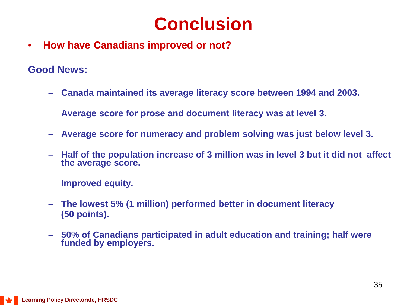• **How have Canadians improved or not?**

**Good News:**

- **Canada maintained its average literacy score between 1994 and 2003.**
- **Average score for prose and document literacy was at level 3.**
- **Average score for numeracy and problem solving was just below level 3.**
- **Half of the population increase of 3 million was in level 3 but it did not affect the average score.**
- **Improved equity.**
- **The lowest 5% (1 million) performed better in document literacy (50 points).**
- **50% of Canadians participated in adult education and training; half were funded by employers.**